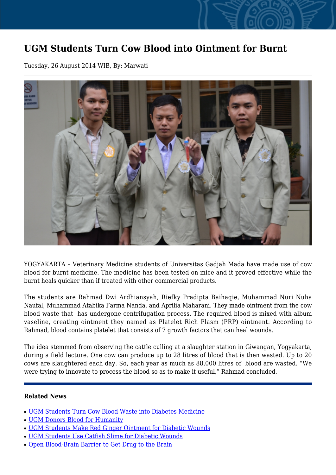## **UGM Students Turn Cow Blood into Ointment for Burnt**

Tuesday, 26 August 2014 WIB, By: Marwati



YOGYAKARTA – Veterinary Medicine students of Universitas Gadjah Mada have made use of cow blood for burnt medicine. The medicine has been tested on mice and it proved effective while the burnt heals quicker than if treated with other commercial products.

The students are Rahmad Dwi Ardhiansyah, Riefky Pradipta Baihaqie, Muhammad Nuri Nuha Naufal, Muhammad Atabika Farma Nanda, and Aprilia Maharani. They made ointment from the cow blood waste that has undergone centrifugation process. The required blood is mixed with album vaseline, creating ointment they named as Platelet Rich Plasm (PRP) ointment. According to Rahmad, blood contains platelet that consists of 7 growth factors that can heal wounds.

The idea stemmed from observing the cattle culling at a slaughter station in Giwangan, Yogyakarta, during a field lecture. One cow can produce up to 28 litres of blood that is then wasted. Up to 20 cows are slaughtered each day. So, each year as much as 88,000 litres of blood are wasted. "We were trying to innovate to process the blood so as to make it useful," Rahmad concluded.

## **Related News**

- [UGM Students Turn Cow Blood Waste into Diabetes Medicine](http://ugm.ac.id/www.ugm.ac.id//en/news/16914-ugm-students-make-red-ginger-ointment-for-diabetic-wounds)
- [UGM Donors Blood for Humanity](http://ugm.ac.id/www.ugm.ac.id//en/news/12234-ugm-students-use-catfish-slime-for-diabetic-wounds)
- [UGM Students Make Red Ginger Ointment for Diabetic Wounds](http://ugm.ac.id/www.ugm.ac.id//en/news/17130-open-blood-brain-barrier-to-get-drug-to-the-brain)
- [UGM Students Use Catfish Slime for Diabetic Wounds](http://ugm.ac.id/www.ugm.ac.id//en/news/10466-ugm-students-turn-cow-blood-waste-into-diabetes-medicine)
- [Open Blood-Brain Barrier to Get Drug to the Brain](http://ugm.ac.id/www.ugm.ac.id//en/news/9621-ugm-donors-blood-for-humanity)